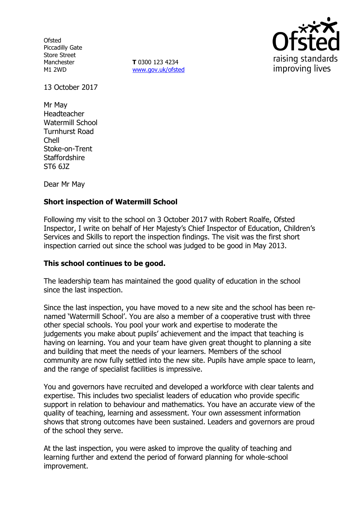**Ofsted** Piccadilly Gate Store Street Manchester M1 2WD

**T** 0300 123 4234 www.gov.uk/ofsted



13 October 2017

Mr May Headteacher Watermill School Turnhurst Road Chell Stoke-on-Trent **Staffordshire** ST6 6JZ

Dear Mr May

# **Short inspection of Watermill School**

Following my visit to the school on 3 October 2017 with Robert Roalfe, Ofsted Inspector, I write on behalf of Her Majesty's Chief Inspector of Education, Children's Services and Skills to report the inspection findings. The visit was the first short inspection carried out since the school was judged to be good in May 2013.

# **This school continues to be good.**

The leadership team has maintained the good quality of education in the school since the last inspection.

Since the last inspection, you have moved to a new site and the school has been renamed 'Watermill School'. You are also a member of a cooperative trust with three other special schools. You pool your work and expertise to moderate the judgements you make about pupils' achievement and the impact that teaching is having on learning. You and your team have given great thought to planning a site and building that meet the needs of your learners. Members of the school community are now fully settled into the new site. Pupils have ample space to learn, and the range of specialist facilities is impressive.

You and governors have recruited and developed a workforce with clear talents and expertise. This includes two specialist leaders of education who provide specific support in relation to behaviour and mathematics. You have an accurate view of the quality of teaching, learning and assessment. Your own assessment information shows that strong outcomes have been sustained. Leaders and governors are proud of the school they serve.

At the last inspection, you were asked to improve the quality of teaching and learning further and extend the period of forward planning for whole-school improvement.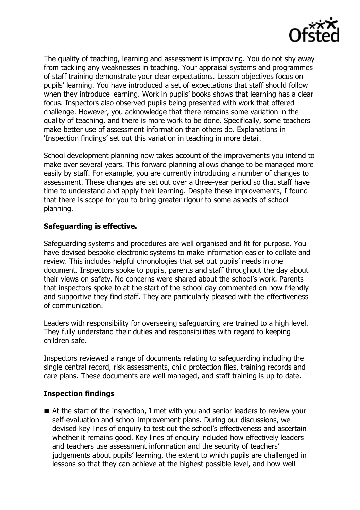

The quality of teaching, learning and assessment is improving. You do not shy away from tackling any weaknesses in teaching. Your appraisal systems and programmes of staff training demonstrate your clear expectations. Lesson objectives focus on pupils' learning. You have introduced a set of expectations that staff should follow when they introduce learning. Work in pupils' books shows that learning has a clear focus. Inspectors also observed pupils being presented with work that offered challenge. However, you acknowledge that there remains some variation in the quality of teaching, and there is more work to be done. Specifically, some teachers make better use of assessment information than others do. Explanations in 'Inspection findings' set out this variation in teaching in more detail.

School development planning now takes account of the improvements you intend to make over several years. This forward planning allows change to be managed more easily by staff. For example, you are currently introducing a number of changes to assessment. These changes are set out over a three-year period so that staff have time to understand and apply their learning. Despite these improvements, I found that there is scope for you to bring greater rigour to some aspects of school planning.

# **Safeguarding is effective.**

Safeguarding systems and procedures are well organised and fit for purpose. You have devised bespoke electronic systems to make information easier to collate and review. This includes helpful chronologies that set out pupils' needs in one document. Inspectors spoke to pupils, parents and staff throughout the day about their views on safety. No concerns were shared about the school's work. Parents that inspectors spoke to at the start of the school day commented on how friendly and supportive they find staff. They are particularly pleased with the effectiveness of communication.

Leaders with responsibility for overseeing safeguarding are trained to a high level. They fully understand their duties and responsibilities with regard to keeping children safe.

Inspectors reviewed a range of documents relating to safeguarding including the single central record, risk assessments, child protection files, training records and care plans. These documents are well managed, and staff training is up to date.

# **Inspection findings**

■ At the start of the inspection, I met with you and senior leaders to review your self-evaluation and school improvement plans. During our discussions, we devised key lines of enquiry to test out the school's effectiveness and ascertain whether it remains good. Key lines of enquiry included how effectively leaders and teachers use assessment information and the security of teachers' judgements about pupils' learning, the extent to which pupils are challenged in lessons so that they can achieve at the highest possible level, and how well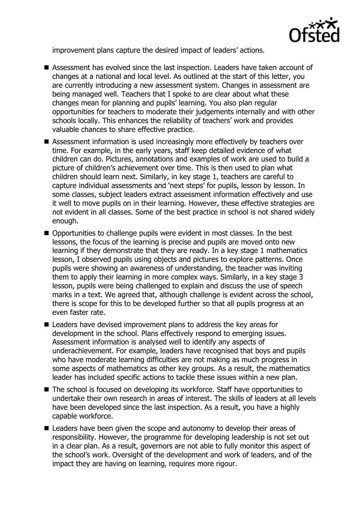

improvement plans capture the desired impact of leaders' actions.

- Assessment has evolved since the last inspection. Leaders have taken account of changes at a national and local level. As outlined at the start of this letter, you are currently introducing a new assessment system. Changes in assessment are being managed well. Teachers that I spoke to are clear about what these changes mean for planning and pupils' learning. You also plan regular opportunities for teachers to moderate their judgements internally and with other schools locally. This enhances the reliability of teachers' work and provides valuable chances to share effective practice.
- Assessment information is used increasingly more effectively by teachers over time. For example, in the early years, staff keep detailed evidence of what children can do. Pictures, annotations and examples of work are used to build a picture of children's achievement over time. This is then used to plan what children should learn next. Similarly, in key stage 1, teachers are careful to capture individual assessments and 'next steps' for pupils, lesson by lesson. In some classes, subject leaders extract assessment information effectively and use it well to move pupils on in their learning. However, these effective strategies are not evident in all classes. Some of the best practice in school is not shared widely enough.
- Opportunities to challenge pupils were evident in most classes. In the best lessons, the focus of the learning is precise and pupils are moved onto new learning if they demonstrate that they are ready. In a key stage 1 mathematics lesson, I observed pupils using objects and pictures to explore patterns. Once pupils were showing an awareness of understanding, the teacher was inviting them to apply their learning in more complex ways. Similarly, in a key stage 3 lesson, pupils were being challenged to explain and discuss the use of speech marks in a text. We agreed that, although challenge is evident across the school, there is scope for this to be developed further so that all pupils progress at an even faster rate.
- Leaders have devised improvement plans to address the key areas for development in the school. Plans effectively respond to emerging issues. Assessment information is analysed well to identify any aspects of underachievement. For example, leaders have recognised that boys and pupils who have moderate learning difficulties are not making as much progress in some aspects of mathematics as other key groups. As a result, the mathematics leader has included specific actions to tackle these issues within a new plan.
- The school is focused on developing its workforce. Staff have opportunities to undertake their own research in areas of interest. The skills of leaders at all levels have been developed since the last inspection. As a result, you have a highly capable workforce.
- Leaders have been given the scope and autonomy to develop their areas of responsibility. However, the programme for developing leadership is not set out in a clear plan. As a result, governors are not able to fully monitor this aspect of the school's work. Oversight of the development and work of leaders, and of the impact they are having on learning, requires more rigour.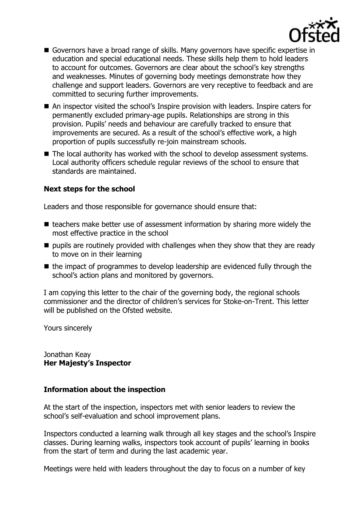

- Governors have a broad range of skills. Many governors have specific expertise in education and special educational needs. These skills help them to hold leaders to account for outcomes. Governors are clear about the school's key strengths and weaknesses. Minutes of governing body meetings demonstrate how they challenge and support leaders. Governors are very receptive to feedback and are committed to securing further improvements.
- An inspector visited the school's Inspire provision with leaders. Inspire caters for permanently excluded primary-age pupils. Relationships are strong in this provision. Pupils' needs and behaviour are carefully tracked to ensure that improvements are secured. As a result of the school's effective work, a high proportion of pupils successfully re-join mainstream schools.
- The local authority has worked with the school to develop assessment systems. Local authority officers schedule regular reviews of the school to ensure that standards are maintained.

# **Next steps for the school**

Leaders and those responsible for governance should ensure that:

- $\blacksquare$  teachers make better use of assessment information by sharing more widely the most effective practice in the school
- $\blacksquare$  pupils are routinely provided with challenges when they show that they are ready to move on in their learning
- $\blacksquare$  the impact of programmes to develop leadership are evidenced fully through the school's action plans and monitored by governors.

I am copying this letter to the chair of the governing body, the regional schools commissioner and the director of children's services for Stoke-on-Trent. This letter will be published on the Ofsted website.

Yours sincerely

Jonathan Keay **Her Majesty's Inspector**

# **Information about the inspection**

At the start of the inspection, inspectors met with senior leaders to review the school's self-evaluation and school improvement plans.

Inspectors conducted a learning walk through all key stages and the school's Inspire classes. During learning walks, inspectors took account of pupils' learning in books from the start of term and during the last academic year.

Meetings were held with leaders throughout the day to focus on a number of key